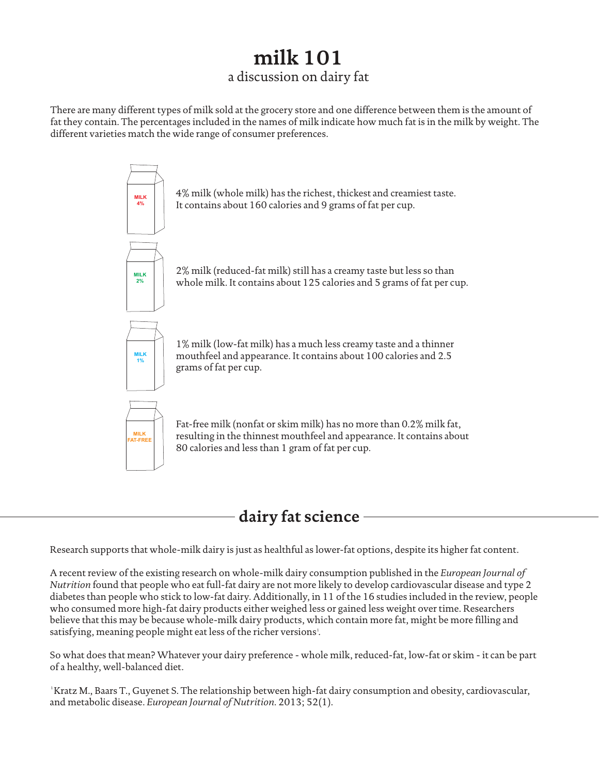## **milk 101** a discussion on dairy fat

There are many different types of milk sold at the grocery store and one difference between them is the amount of fat they contain. The percentages included in the names of milk indicate how much fat is in the milk by weight. The different varieties match the wide range of consumer preferences.



## **dairy fat science**

Research supports that whole-milk dairy is just as healthful as lower-fat options, despite its higher fat content.

A recent review of the existing research on whole-milk dairy consumption published in the *European Journal of Nutrition* found that people who eat full-fat dairy are not more likely to develop cardiovascular disease and type 2 diabetes than people who stick to low-fat dairy. Additionally, in 11 of the 16 studies included in the review, people who consumed more high-fat dairy products either weighed less or gained less weight over time. Researchers believe that this may be because whole-milk dairy products, which contain more fat, might be more filling and satisfying, meaning people might eat less of the richer versions<sup>1</sup>.

So what does that mean? Whatever your dairy preference - whole milk, reduced-fat, low-fat or skim - it can be part of a healthy, well-balanced diet.

Kratz M., Baars T., Guyenet S. The relationship between high-fat dairy consumption and obesity, cardiovascular, and metabolic disease. *European Journal of Nutrition*. 2013; 52(1).